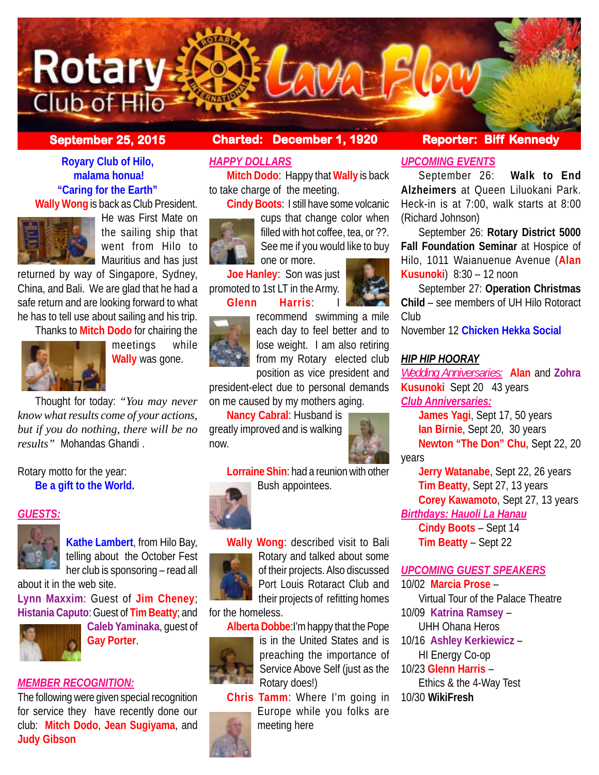

**Royary Club of Hilo, malama honua! "Caring for the Earth"**

**Wally Wong** is back as Club President.



He was First Mate on the sailing ship that went from Hilo to **Mauritius and has just** 

returned by way of Singapore, Sydney, China, and Bali. We are glad that he had a safe return and are looking forward to what he has to tell use about sailing and his trip.

Thanks to **Mitch Dodo** for chairing the



meetings while **Wally** was gone.

Thought for today: *"You may never know what results come of your actions, but if you do nothing, there will be no results"* Mohandas Ghandi .

Rotary motto for the year: **Be a gift to the World.**

#### *GUESTS:*



**Kathe Lambert**, from Hilo Bay, telling about the October Fest her club is sponsoring – read all about it in the web site.

**Lynn Maxxim**: Guest of **Jim Cheney**; **Histania Caputo**: Guest of **Tim Beatty**; and



**Caleb Yaminaka**, guest of **Gay Porter**.

## *MEMBER RECOGNITION:*

The following were given special recognition for service they have recently done our club: **Mitch Dodo**, **Jean Sugiyama**, and **Judy Gibson**

# **September 25, 2015 Charted: December 1, 1920 Reporter: Biff Kennedy**

# *HAPPY DOLLARS*

**Mitch Dodo**: Happy that **Wally** is back to take charge of the meeting.

**Cindy Boots**: I still have some volcanic



cups that change color when filled with hot coffee, tea, or ??. See me if you would like to buy one or more.

**Joe Hanley**: Son was just promoted to 1st LT in the Army. **Glenn Harris**: I



recommend swimming a mile each day to feel better and to lose weight. I am also retiring from my Rotary elected club position as vice president and

president-elect due to personal demands on me caused by my mothers aging.

**Nancy Cabral**: Husband is greatly improved and is walking now.



**Lorraine Shin**: had a reunion with other Bush appointees.





**Wally Wong**: described visit to Bali Rotary and talked about some of their projects. Also discussed Port Louis Rotaract Club and their projects of refitting homes

# for the homeless.

**Alberta Dobbe**:I'm happy that the Pope



is in the United States and is preaching the importance of Service Above Self (just as the Rotary does!)

**Chris Tamm**: Where I'm going in Europe while you folks are meeting here

# *UPCOMING EVENTS*

September 26: **Walk to End Alzheimers** at Queen Liluokani Park. Heck-in is at 7:00, walk starts at 8:00 (Richard Johnson)

September 26: **Rotary District 5000 Fall Foundation Seminar** at Hospice of Hilo, 1011 Waianuenue Avenue (**Alan Kusunoki**) 8:30 – 12 noon

September 27: **Operation Christmas Child** – see members of UH Hilo Rotoract Club

November 12 **Chicken Hekka Social**

#### *HIP HIP HOORAY*

*Wedding Anniversaries:* **Alan** and **Zohra Kusunoki** Sept 20 43 years *Club Anniversaries:*

**James Yagi**, Sept 17, 50 years **Ian Birnie**, Sept 20, 30 years **Newton "The Don" Chu**, Sept 22, 20

years

**Jerry Watanabe**, Sept 22, 26 years **Tim Beatty**, Sept 27, 13 years

**Corey Kawamoto**, Sept 27, 13 years *Birthdays: Hauoli La Hanau*

**Cindy Boots** – Sept 14 **Tim Beatty** – Sept 22

## *UPCOMING GUEST SPEAKERS*

10/02 **Marcia Prose** –

Virtual Tour of the Palace Theatre 10/09 **Katrina Ramsey** –

UHH Ohana Heros

10/16 **Ashley Kerkiewicz** –

HI Energy Co-op 10/23 **Glenn Harris** –

Ethics & the 4-Way Test

10/30 **WikiFresh**